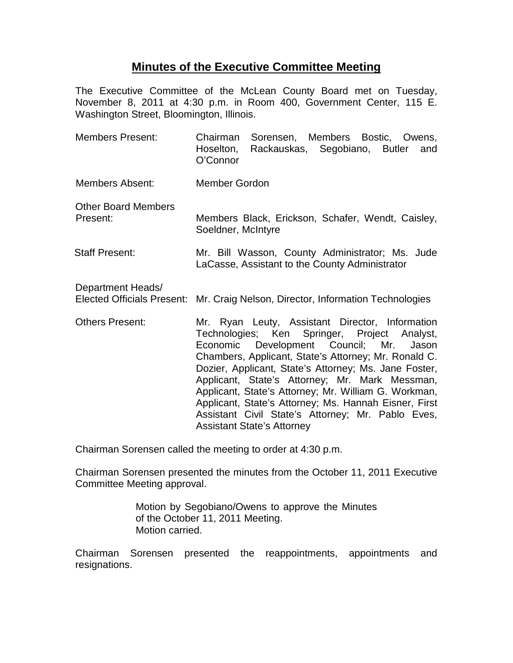## **Minutes of the Executive Committee Meeting**

The Executive Committee of the McLean County Board met on Tuesday, November 8, 2011 at 4:30 p.m. in Room 400, Government Center, 115 E. Washington Street, Bloomington, Illinois.

- Members Present: Chairman Sorensen, Members Bostic, Owens, Hoselton, Rackauskas, Segobiano, Butler and O'Connor Members Absent: Member Gordon Other Board Members
- Present: Members Black, Erickson, Schafer, Wendt, Caisley, Soeldner, McIntyre
- Staff Present: Mr. Bill Wasson, County Administrator; Ms. Jude LaCasse, Assistant to the County Administrator
- Department Heads/ Elected Officials Present: Mr. Craig Nelson, Director, Information Technologies
- Others Present: Mr. Ryan Leuty, Assistant Director, Information Technologies; Ken Springer, Project Analyst, Economic Development Council; Mr. Jason Chambers, Applicant, State's Attorney; Mr. Ronald C. Dozier, Applicant, State's Attorney; Ms. Jane Foster, Applicant, State's Attorney; Mr. Mark Messman, Applicant, State's Attorney; Mr. William G. Workman, Applicant, State's Attorney; Ms. Hannah Eisner, First Assistant Civil State's Attorney; Mr. Pablo Eves, Assistant State's Attorney

Chairman Sorensen called the meeting to order at 4:30 p.m.

Chairman Sorensen presented the minutes from the October 11, 2011 Executive Committee Meeting approval.

> Motion by Segobiano/Owens to approve the Minutes of the October 11, 2011 Meeting. Motion carried.

Chairman Sorensen presented the reappointments, appointments and resignations.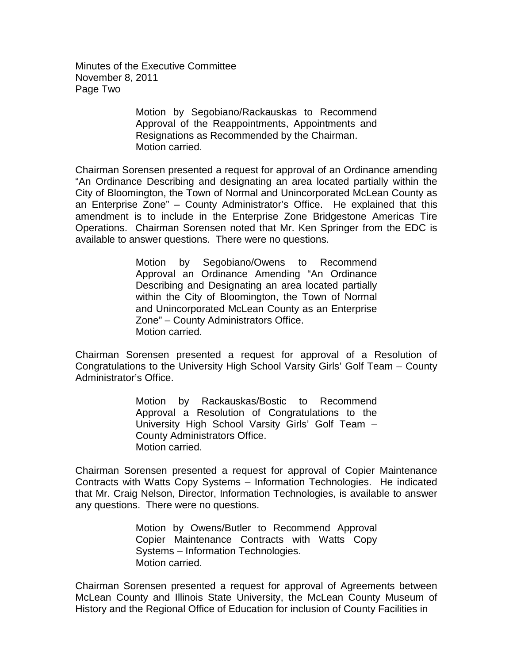Minutes of the Executive Committee November 8, 2011 Page Two

> Motion by Segobiano/Rackauskas to Recommend Approval of the Reappointments, Appointments and Resignations as Recommended by the Chairman. Motion carried.

Chairman Sorensen presented a request for approval of an Ordinance amending "An Ordinance Describing and designating an area located partially within the City of Bloomington, the Town of Normal and Unincorporated McLean County as an Enterprise Zone" – County Administrator's Office. He explained that this amendment is to include in the Enterprise Zone Bridgestone Americas Tire Operations. Chairman Sorensen noted that Mr. Ken Springer from the EDC is available to answer questions. There were no questions.

> Motion by Segobiano/Owens to Recommend Approval an Ordinance Amending "An Ordinance Describing and Designating an area located partially within the City of Bloomington, the Town of Normal and Unincorporated McLean County as an Enterprise Zone" – County Administrators Office. Motion carried.

Chairman Sorensen presented a request for approval of a Resolution of Congratulations to the University High School Varsity Girls' Golf Team – County Administrator's Office.

> Motion by Rackauskas/Bostic to Recommend Approval a Resolution of Congratulations to the University High School Varsity Girls' Golf Team – County Administrators Office. Motion carried.

Chairman Sorensen presented a request for approval of Copier Maintenance Contracts with Watts Copy Systems – Information Technologies. He indicated that Mr. Craig Nelson, Director, Information Technologies, is available to answer any questions. There were no questions.

> Motion by Owens/Butler to Recommend Approval Copier Maintenance Contracts with Watts Copy Systems – Information Technologies. Motion carried.

Chairman Sorensen presented a request for approval of Agreements between McLean County and Illinois State University, the McLean County Museum of History and the Regional Office of Education for inclusion of County Facilities in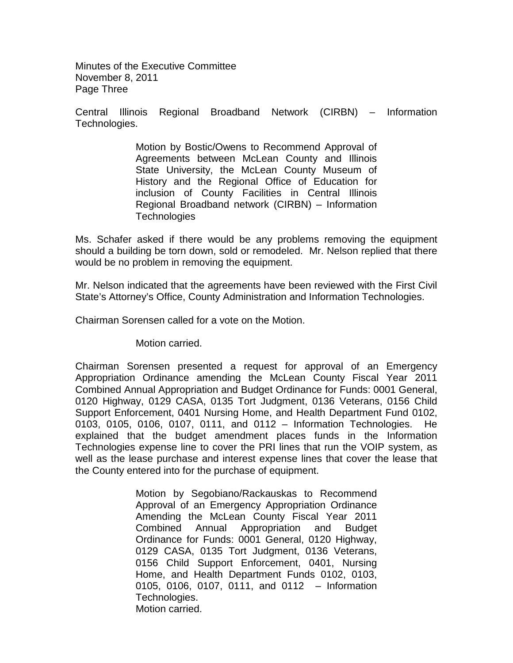Minutes of the Executive Committee November 8, 2011 Page Three

Central Illinois Regional Broadband Network (CIRBN) – Information Technologies.

> Motion by Bostic/Owens to Recommend Approval of Agreements between McLean County and Illinois State University, the McLean County Museum of History and the Regional Office of Education for inclusion of County Facilities in Central Illinois Regional Broadband network (CIRBN) – Information **Technologies**

Ms. Schafer asked if there would be any problems removing the equipment should a building be torn down, sold or remodeled. Mr. Nelson replied that there would be no problem in removing the equipment.

Mr. Nelson indicated that the agreements have been reviewed with the First Civil State's Attorney's Office, County Administration and Information Technologies.

Chairman Sorensen called for a vote on the Motion.

Motion carried.

Chairman Sorensen presented a request for approval of an Emergency Appropriation Ordinance amending the McLean County Fiscal Year 2011 Combined Annual Appropriation and Budget Ordinance for Funds: 0001 General, 0120 Highway, 0129 CASA, 0135 Tort Judgment, 0136 Veterans, 0156 Child Support Enforcement, 0401 Nursing Home, and Health Department Fund 0102, 0103, 0105, 0106, 0107, 0111, and 0112 – Information Technologies. He explained that the budget amendment places funds in the Information Technologies expense line to cover the PRI lines that run the VOIP system, as well as the lease purchase and interest expense lines that cover the lease that the County entered into for the purchase of equipment.

> Motion by Segobiano/Rackauskas to Recommend Approval of an Emergency Appropriation Ordinance Amending the McLean County Fiscal Year 2011 Combined Annual Appropriation and Budget Ordinance for Funds: 0001 General, 0120 Highway, 0129 CASA, 0135 Tort Judgment, 0136 Veterans, 0156 Child Support Enforcement, 0401, Nursing Home, and Health Department Funds 0102, 0103, 0105, 0106, 0107, 0111, and 0112 – Information Technologies. Motion carried.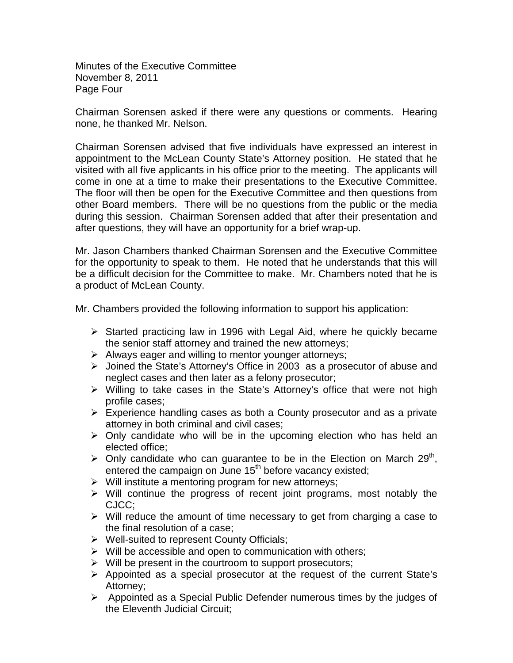Minutes of the Executive Committee November 8, 2011 Page Four

Chairman Sorensen asked if there were any questions or comments. Hearing none, he thanked Mr. Nelson.

Chairman Sorensen advised that five individuals have expressed an interest in appointment to the McLean County State's Attorney position. He stated that he visited with all five applicants in his office prior to the meeting. The applicants will come in one at a time to make their presentations to the Executive Committee. The floor will then be open for the Executive Committee and then questions from other Board members. There will be no questions from the public or the media during this session. Chairman Sorensen added that after their presentation and after questions, they will have an opportunity for a brief wrap-up.

Mr. Jason Chambers thanked Chairman Sorensen and the Executive Committee for the opportunity to speak to them. He noted that he understands that this will be a difficult decision for the Committee to make. Mr. Chambers noted that he is a product of McLean County.

Mr. Chambers provided the following information to support his application:

- $\triangleright$  Started practicing law in 1996 with Legal Aid, where he quickly became the senior staff attorney and trained the new attorneys;
- $\triangleright$  Always eager and willing to mentor younger attorneys;
- Joined the State's Attorney's Office in 2003 as a prosecutor of abuse and neglect cases and then later as a felony prosecutor;
- $\triangleright$  Willing to take cases in the State's Attorney's office that were not high profile cases;
- $\triangleright$  Experience handling cases as both a County prosecutor and as a private attorney in both criminal and civil cases;
- $\triangleright$  Only candidate who will be in the upcoming election who has held an elected office;
- $\triangleright$  Only candidate who can guarantee to be in the Election on March 29<sup>th</sup>, entered the campaign on June 15<sup>th</sup> before vacancy existed;
- $\triangleright$  Will institute a mentoring program for new attorneys;
- $\triangleright$  Will continue the progress of recent joint programs, most notably the CJCC;
- $\triangleright$  Will reduce the amount of time necessary to get from charging a case to the final resolution of a case;
- ▶ Well-suited to represent County Officials;
- $\triangleright$  Will be accessible and open to communication with others;
- $\triangleright$  Will be present in the courtroom to support prosecutors;
- $\triangleright$  Appointed as a special prosecutor at the request of the current State's Attorney;
- $\triangleright$  Appointed as a Special Public Defender numerous times by the judges of the Eleventh Judicial Circuit;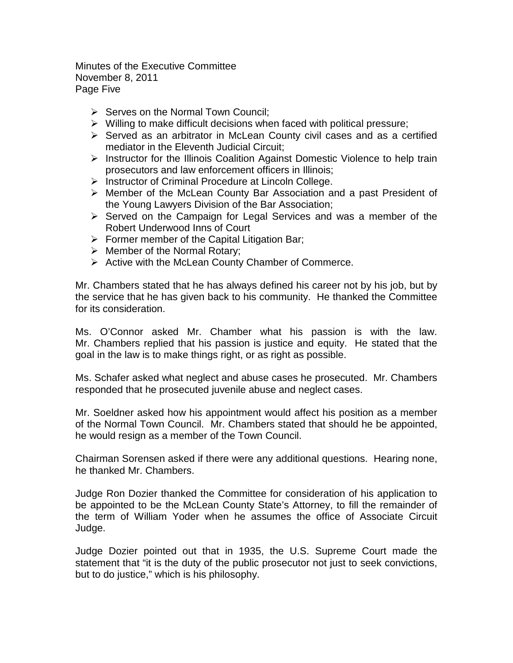Minutes of the Executive Committee November 8, 2011 Page Five

- $\triangleright$  Serves on the Normal Town Council:
- $\triangleright$  Willing to make difficult decisions when faced with political pressure;
- $\triangleright$  Served as an arbitrator in McLean County civil cases and as a certified mediator in the Eleventh Judicial Circuit;
- $\triangleright$  Instructor for the Illinois Coalition Against Domestic Violence to help train prosecutors and law enforcement officers in Illinois;
- $\triangleright$  Instructor of Criminal Procedure at Lincoln College.
- Member of the McLean County Bar Association and a past President of the Young Lawyers Division of the Bar Association;
- $\triangleright$  Served on the Campaign for Legal Services and was a member of the Robert Underwood Inns of Court
- $\triangleright$  Former member of the Capital Litigation Bar;
- $\triangleright$  Member of the Normal Rotary;
- $\triangleright$  Active with the McLean County Chamber of Commerce.

Mr. Chambers stated that he has always defined his career not by his job, but by the service that he has given back to his community. He thanked the Committee for its consideration.

Ms. O'Connor asked Mr. Chamber what his passion is with the law. Mr. Chambers replied that his passion is justice and equity. He stated that the goal in the law is to make things right, or as right as possible.

Ms. Schafer asked what neglect and abuse cases he prosecuted. Mr. Chambers responded that he prosecuted juvenile abuse and neglect cases.

Mr. Soeldner asked how his appointment would affect his position as a member of the Normal Town Council. Mr. Chambers stated that should he be appointed, he would resign as a member of the Town Council.

Chairman Sorensen asked if there were any additional questions. Hearing none, he thanked Mr. Chambers.

Judge Ron Dozier thanked the Committee for consideration of his application to be appointed to be the McLean County State's Attorney, to fill the remainder of the term of William Yoder when he assumes the office of Associate Circuit Judge.

Judge Dozier pointed out that in 1935, the U.S. Supreme Court made the statement that "it is the duty of the public prosecutor not just to seek convictions, but to do justice," which is his philosophy.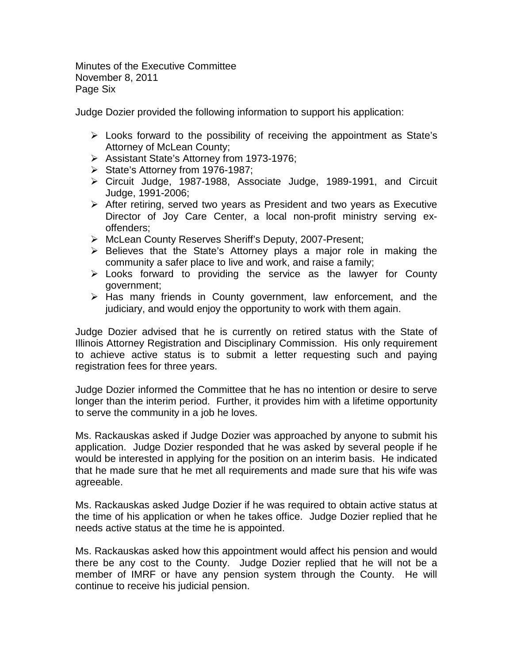Minutes of the Executive Committee November 8, 2011 Page Six

Judge Dozier provided the following information to support his application:

- $\triangleright$  Looks forward to the possibility of receiving the appointment as State's Attorney of McLean County;
- Assistant State's Attorney from 1973-1976;
- $\triangleright$  State's Attorney from 1976-1987;
- Circuit Judge, 1987-1988, Associate Judge, 1989-1991, and Circuit Judge, 1991-2006;
- After retiring, served two years as President and two years as Executive Director of Joy Care Center, a local non-profit ministry serving exoffenders;
- McLean County Reserves Sheriff's Deputy, 2007-Present;
- $\triangleright$  Believes that the State's Attorney plays a major role in making the community a safer place to live and work, and raise a family;
- $\triangleright$  Looks forward to providing the service as the lawyer for County government;
- $\triangleright$  Has many friends in County government, law enforcement, and the judiciary, and would enjoy the opportunity to work with them again.

Judge Dozier advised that he is currently on retired status with the State of Illinois Attorney Registration and Disciplinary Commission. His only requirement to achieve active status is to submit a letter requesting such and paying registration fees for three years.

Judge Dozier informed the Committee that he has no intention or desire to serve longer than the interim period. Further, it provides him with a lifetime opportunity to serve the community in a job he loves.

Ms. Rackauskas asked if Judge Dozier was approached by anyone to submit his application. Judge Dozier responded that he was asked by several people if he would be interested in applying for the position on an interim basis. He indicated that he made sure that he met all requirements and made sure that his wife was agreeable.

Ms. Rackauskas asked Judge Dozier if he was required to obtain active status at the time of his application or when he takes office. Judge Dozier replied that he needs active status at the time he is appointed.

Ms. Rackauskas asked how this appointment would affect his pension and would there be any cost to the County. Judge Dozier replied that he will not be a member of IMRF or have any pension system through the County. He will continue to receive his judicial pension.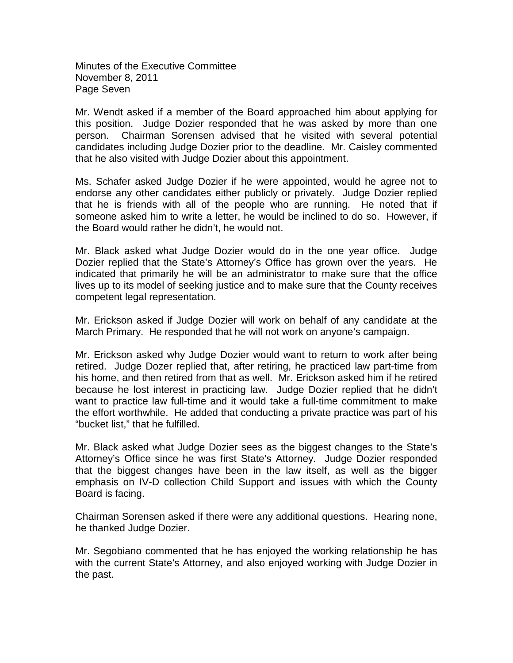Minutes of the Executive Committee November 8, 2011 Page Seven

Mr. Wendt asked if a member of the Board approached him about applying for this position. Judge Dozier responded that he was asked by more than one person. Chairman Sorensen advised that he visited with several potential candidates including Judge Dozier prior to the deadline. Mr. Caisley commented that he also visited with Judge Dozier about this appointment.

Ms. Schafer asked Judge Dozier if he were appointed, would he agree not to endorse any other candidates either publicly or privately. Judge Dozier replied that he is friends with all of the people who are running. He noted that if someone asked him to write a letter, he would be inclined to do so. However, if the Board would rather he didn't, he would not.

Mr. Black asked what Judge Dozier would do in the one year office. Judge Dozier replied that the State's Attorney's Office has grown over the years. He indicated that primarily he will be an administrator to make sure that the office lives up to its model of seeking justice and to make sure that the County receives competent legal representation.

Mr. Erickson asked if Judge Dozier will work on behalf of any candidate at the March Primary. He responded that he will not work on anyone's campaign.

Mr. Erickson asked why Judge Dozier would want to return to work after being retired. Judge Dozer replied that, after retiring, he practiced law part-time from his home, and then retired from that as well. Mr. Erickson asked him if he retired because he lost interest in practicing law. Judge Dozier replied that he didn't want to practice law full-time and it would take a full-time commitment to make the effort worthwhile. He added that conducting a private practice was part of his "bucket list," that he fulfilled.

Mr. Black asked what Judge Dozier sees as the biggest changes to the State's Attorney's Office since he was first State's Attorney. Judge Dozier responded that the biggest changes have been in the law itself, as well as the bigger emphasis on IV-D collection Child Support and issues with which the County Board is facing.

Chairman Sorensen asked if there were any additional questions. Hearing none, he thanked Judge Dozier.

Mr. Segobiano commented that he has enjoyed the working relationship he has with the current State's Attorney, and also enjoyed working with Judge Dozier in the past.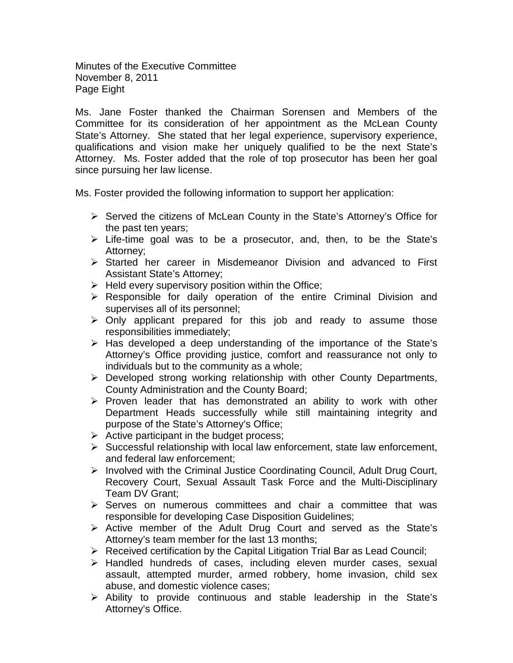Minutes of the Executive Committee November 8, 2011 Page Eight

Ms. Jane Foster thanked the Chairman Sorensen and Members of the Committee for its consideration of her appointment as the McLean County State's Attorney. She stated that her legal experience, supervisory experience, qualifications and vision make her uniquely qualified to be the next State's Attorney. Ms. Foster added that the role of top prosecutor has been her goal since pursuing her law license.

Ms. Foster provided the following information to support her application:

- $\triangleright$  Served the citizens of McLean County in the State's Attorney's Office for the past ten years;
- $\triangleright$  Life-time goal was to be a prosecutor, and, then, to be the State's Attorney;
- $\triangleright$  Started her career in Misdemeanor Division and advanced to First Assistant State's Attorney;
- $\triangleright$  Held every supervisory position within the Office;
- $\triangleright$  Responsible for daily operation of the entire Criminal Division and supervises all of its personnel;
- $\triangleright$  Only applicant prepared for this job and ready to assume those responsibilities immediately;
- $\triangleright$  Has developed a deep understanding of the importance of the State's Attorney's Office providing justice, comfort and reassurance not only to individuals but to the community as a whole;
- $\triangleright$  Developed strong working relationship with other County Departments, County Administration and the County Board;
- $\triangleright$  Proven leader that has demonstrated an ability to work with other Department Heads successfully while still maintaining integrity and purpose of the State's Attorney's Office;
- $\triangleright$  Active participant in the budget process;
- $\triangleright$  Successful relationship with local law enforcement, state law enforcement, and federal law enforcement;
- $\triangleright$  Involved with the Criminal Justice Coordinating Council, Adult Drug Court, Recovery Court, Sexual Assault Task Force and the Multi-Disciplinary Team DV Grant;
- $\triangleright$  Serves on numerous committees and chair a committee that was responsible for developing Case Disposition Guidelines;
- Active member of the Adult Drug Court and served as the State's Attorney's team member for the last 13 months;
- $\triangleright$  Received certification by the Capital Litigation Trial Bar as Lead Council;
- $\triangleright$  Handled hundreds of cases, including eleven murder cases, sexual assault, attempted murder, armed robbery, home invasion, child sex abuse, and domestic violence cases;
- $\triangleright$  Ability to provide continuous and stable leadership in the State's Attorney's Office.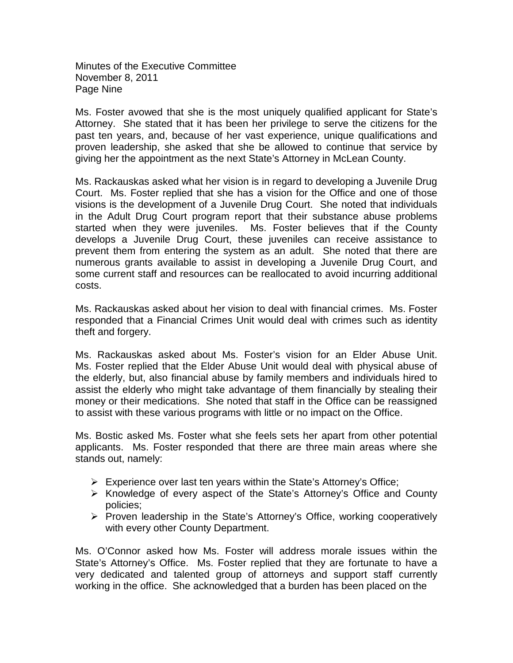Minutes of the Executive Committee November 8, 2011 Page Nine

Ms. Foster avowed that she is the most uniquely qualified applicant for State's Attorney. She stated that it has been her privilege to serve the citizens for the past ten years, and, because of her vast experience, unique qualifications and proven leadership, she asked that she be allowed to continue that service by giving her the appointment as the next State's Attorney in McLean County.

Ms. Rackauskas asked what her vision is in regard to developing a Juvenile Drug Court. Ms. Foster replied that she has a vision for the Office and one of those visions is the development of a Juvenile Drug Court. She noted that individuals in the Adult Drug Court program report that their substance abuse problems started when they were juveniles. Ms. Foster believes that if the County develops a Juvenile Drug Court, these juveniles can receive assistance to prevent them from entering the system as an adult. She noted that there are numerous grants available to assist in developing a Juvenile Drug Court, and some current staff and resources can be reallocated to avoid incurring additional costs.

Ms. Rackauskas asked about her vision to deal with financial crimes. Ms. Foster responded that a Financial Crimes Unit would deal with crimes such as identity theft and forgery.

Ms. Rackauskas asked about Ms. Foster's vision for an Elder Abuse Unit. Ms. Foster replied that the Elder Abuse Unit would deal with physical abuse of the elderly, but, also financial abuse by family members and individuals hired to assist the elderly who might take advantage of them financially by stealing their money or their medications. She noted that staff in the Office can be reassigned to assist with these various programs with little or no impact on the Office.

Ms. Bostic asked Ms. Foster what she feels sets her apart from other potential applicants. Ms. Foster responded that there are three main areas where she stands out, namely:

- $\triangleright$  Experience over last ten years within the State's Attorney's Office;
- $\triangleright$  Knowledge of every aspect of the State's Attorney's Office and County policies;
- $\triangleright$  Proven leadership in the State's Attorney's Office, working cooperatively with every other County Department.

Ms. O'Connor asked how Ms. Foster will address morale issues within the State's Attorney's Office. Ms. Foster replied that they are fortunate to have a very dedicated and talented group of attorneys and support staff currently working in the office. She acknowledged that a burden has been placed on the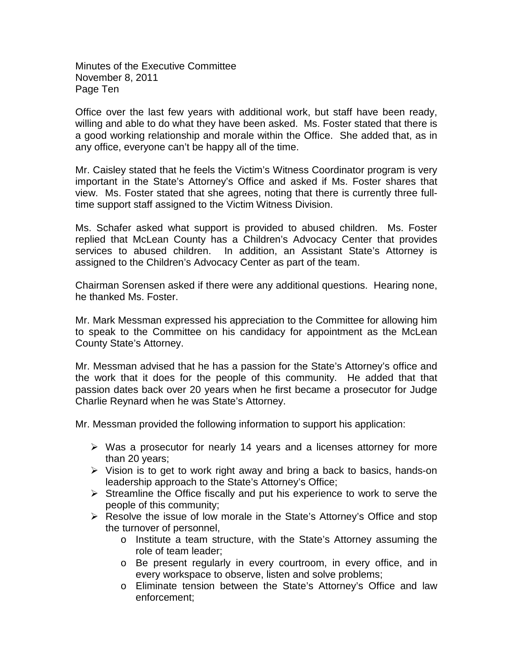Minutes of the Executive Committee November 8, 2011 Page Ten

Office over the last few years with additional work, but staff have been ready, willing and able to do what they have been asked. Ms. Foster stated that there is a good working relationship and morale within the Office. She added that, as in any office, everyone can't be happy all of the time.

Mr. Caisley stated that he feels the Victim's Witness Coordinator program is very important in the State's Attorney's Office and asked if Ms. Foster shares that view. Ms. Foster stated that she agrees, noting that there is currently three fulltime support staff assigned to the Victim Witness Division.

Ms. Schafer asked what support is provided to abused children. Ms. Foster replied that McLean County has a Children's Advocacy Center that provides services to abused children. In addition, an Assistant State's Attorney is assigned to the Children's Advocacy Center as part of the team.

Chairman Sorensen asked if there were any additional questions. Hearing none, he thanked Ms. Foster.

Mr. Mark Messman expressed his appreciation to the Committee for allowing him to speak to the Committee on his candidacy for appointment as the McLean County State's Attorney.

Mr. Messman advised that he has a passion for the State's Attorney's office and the work that it does for the people of this community. He added that that passion dates back over 20 years when he first became a prosecutor for Judge Charlie Reynard when he was State's Attorney.

Mr. Messman provided the following information to support his application:

- $\triangleright$  Was a prosecutor for nearly 14 years and a licenses attorney for more than 20 years;
- $\triangleright$  Vision is to get to work right away and bring a back to basics, hands-on leadership approach to the State's Attorney's Office;
- $\triangleright$  Streamline the Office fiscally and put his experience to work to serve the people of this community;
- ▶ Resolve the issue of low morale in the State's Attorney's Office and stop the turnover of personnel,
	- o Institute a team structure, with the State's Attorney assuming the role of team leader;
	- o Be present regularly in every courtroom, in every office, and in every workspace to observe, listen and solve problems;
	- o Eliminate tension between the State's Attorney's Office and law enforcement;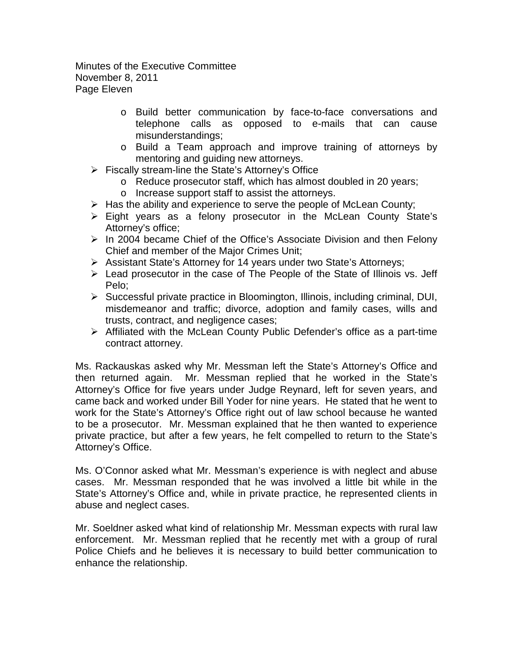Minutes of the Executive Committee November 8, 2011 Page Eleven

- o Build better communication by face-to-face conversations and telephone calls as opposed to e-mails that can cause misunderstandings;
- o Build a Team approach and improve training of attorneys by mentoring and guiding new attorneys.
- $\triangleright$  Fiscally stream-line the State's Attorney's Office
	- o Reduce prosecutor staff, which has almost doubled in 20 years;
	- o Increase support staff to assist the attorneys.
- $\triangleright$  Has the ability and experience to serve the people of McLean County;
- Eight years as a felony prosecutor in the McLean County State's Attorney's office;
- $\triangleright$  In 2004 became Chief of the Office's Associate Division and then Felony Chief and member of the Major Crimes Unit;
- Assistant State's Attorney for 14 years under two State's Attorneys;
- $\triangleright$  Lead prosecutor in the case of The People of the State of Illinois vs. Jeff Pelo;
- $\triangleright$  Successful private practice in Bloomington, Illinois, including criminal, DUI, misdemeanor and traffic; divorce, adoption and family cases, wills and trusts, contract, and negligence cases;
- $\triangleright$  Affiliated with the McLean County Public Defender's office as a part-time contract attorney.

Ms. Rackauskas asked why Mr. Messman left the State's Attorney's Office and then returned again. Mr. Messman replied that he worked in the State's Attorney's Office for five years under Judge Reynard, left for seven years, and came back and worked under Bill Yoder for nine years. He stated that he went to work for the State's Attorney's Office right out of law school because he wanted to be a prosecutor. Mr. Messman explained that he then wanted to experience private practice, but after a few years, he felt compelled to return to the State's Attorney's Office.

Ms. O'Connor asked what Mr. Messman's experience is with neglect and abuse cases. Mr. Messman responded that he was involved a little bit while in the State's Attorney's Office and, while in private practice, he represented clients in abuse and neglect cases.

Mr. Soeldner asked what kind of relationship Mr. Messman expects with rural law enforcement. Mr. Messman replied that he recently met with a group of rural Police Chiefs and he believes it is necessary to build better communication to enhance the relationship.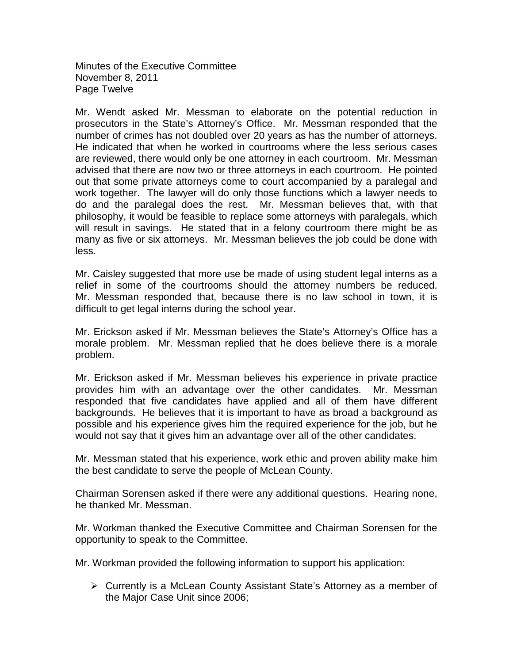Minutes of the Executive Committee November 8, 2011 Page Twelve

Mr. Wendt asked Mr. Messman to elaborate on the potential reduction in prosecutors in the State's Attorney's Office. Mr. Messman responded that the number of crimes has not doubled over 20 years as has the number of attorneys. He indicated that when he worked in courtrooms where the less serious cases are reviewed, there would only be one attorney in each courtroom. Mr. Messman advised that there are now two or three attorneys in each courtroom. He pointed out that some private attorneys come to court accompanied by a paralegal and work together. The lawyer will do only those functions which a lawyer needs to do and the paralegal does the rest. Mr. Messman believes that, with that philosophy, it would be feasible to replace some attorneys with paralegals, which will result in savings. He stated that in a felony courtroom there might be as many as five or six attorneys. Mr. Messman believes the job could be done with less.

Mr. Caisley suggested that more use be made of using student legal interns as a relief in some of the courtrooms should the attorney numbers be reduced. Mr. Messman responded that, because there is no law school in town, it is difficult to get legal interns during the school year.

Mr. Erickson asked if Mr. Messman believes the State's Attorney's Office has a morale problem. Mr. Messman replied that he does believe there is a morale problem.

Mr. Erickson asked if Mr. Messman believes his experience in private practice provides him with an advantage over the other candidates. Mr. Messman responded that five candidates have applied and all of them have different backgrounds. He believes that it is important to have as broad a background as possible and his experience gives him the required experience for the job, but he would not say that it gives him an advantage over all of the other candidates.

Mr. Messman stated that his experience, work ethic and proven ability make him the best candidate to serve the people of McLean County.

Chairman Sorensen asked if there were any additional questions. Hearing none, he thanked Mr. Messman.

Mr. Workman thanked the Executive Committee and Chairman Sorensen for the opportunity to speak to the Committee.

Mr. Workman provided the following information to support his application:

 $\triangleright$  Currently is a McLean County Assistant State's Attorney as a member of the Major Case Unit since 2006;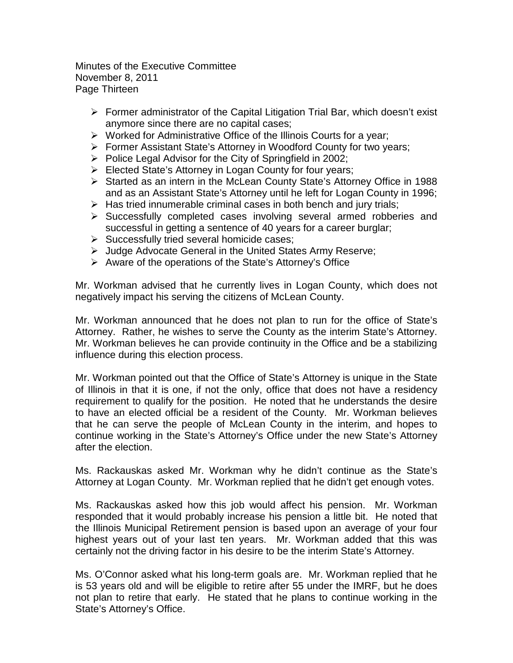Minutes of the Executive Committee November 8, 2011 Page Thirteen

- Former administrator of the Capital Litigation Trial Bar, which doesn't exist anymore since there are no capital cases;
- $\triangleright$  Worked for Administrative Office of the Illinois Courts for a year;
- Former Assistant State's Attorney in Woodford County for two years;
- $\triangleright$  Police Legal Advisor for the City of Springfield in 2002;
- $\triangleright$  Elected State's Attorney in Logan County for four years;
- Started as an intern in the McLean County State's Attorney Office in 1988 and as an Assistant State's Attorney until he left for Logan County in 1996;
- $\triangleright$  Has tried innumerable criminal cases in both bench and jury trials;
- Successfully completed cases involving several armed robberies and successful in getting a sentence of 40 years for a career burglar;
- $\triangleright$  Successfully tried several homicide cases;
- Judge Advocate General in the United States Army Reserve;
- $\triangleright$  Aware of the operations of the State's Attorney's Office

Mr. Workman advised that he currently lives in Logan County, which does not negatively impact his serving the citizens of McLean County.

Mr. Workman announced that he does not plan to run for the office of State's Attorney. Rather, he wishes to serve the County as the interim State's Attorney. Mr. Workman believes he can provide continuity in the Office and be a stabilizing influence during this election process.

Mr. Workman pointed out that the Office of State's Attorney is unique in the State of Illinois in that it is one, if not the only, office that does not have a residency requirement to qualify for the position. He noted that he understands the desire to have an elected official be a resident of the County. Mr. Workman believes that he can serve the people of McLean County in the interim, and hopes to continue working in the State's Attorney's Office under the new State's Attorney after the election.

Ms. Rackauskas asked Mr. Workman why he didn't continue as the State's Attorney at Logan County. Mr. Workman replied that he didn't get enough votes.

Ms. Rackauskas asked how this job would affect his pension. Mr. Workman responded that it would probably increase his pension a little bit. He noted that the Illinois Municipal Retirement pension is based upon an average of your four highest years out of your last ten years. Mr. Workman added that this was certainly not the driving factor in his desire to be the interim State's Attorney.

Ms. O'Connor asked what his long-term goals are. Mr. Workman replied that he is 53 years old and will be eligible to retire after 55 under the IMRF, but he does not plan to retire that early. He stated that he plans to continue working in the State's Attorney's Office.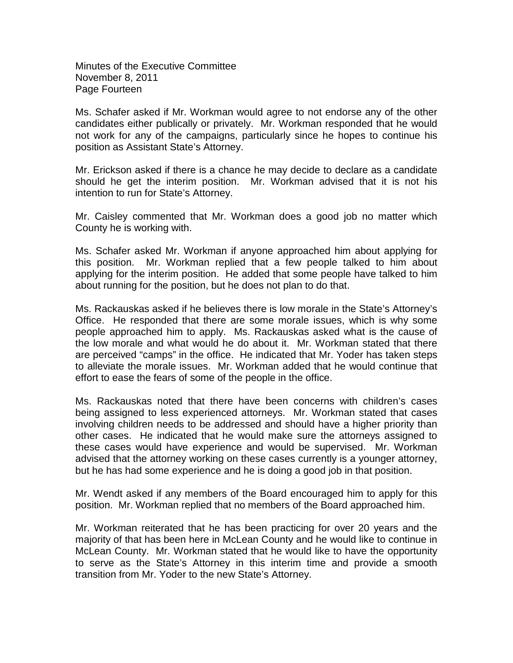Minutes of the Executive Committee November 8, 2011 Page Fourteen

Ms. Schafer asked if Mr. Workman would agree to not endorse any of the other candidates either publically or privately. Mr. Workman responded that he would not work for any of the campaigns, particularly since he hopes to continue his position as Assistant State's Attorney.

Mr. Erickson asked if there is a chance he may decide to declare as a candidate should he get the interim position. Mr. Workman advised that it is not his intention to run for State's Attorney.

Mr. Caisley commented that Mr. Workman does a good job no matter which County he is working with.

Ms. Schafer asked Mr. Workman if anyone approached him about applying for this position. Mr. Workman replied that a few people talked to him about applying for the interim position. He added that some people have talked to him about running for the position, but he does not plan to do that.

Ms. Rackauskas asked if he believes there is low morale in the State's Attorney's Office. He responded that there are some morale issues, which is why some people approached him to apply. Ms. Rackauskas asked what is the cause of the low morale and what would he do about it. Mr. Workman stated that there are perceived "camps" in the office. He indicated that Mr. Yoder has taken steps to alleviate the morale issues. Mr. Workman added that he would continue that effort to ease the fears of some of the people in the office.

Ms. Rackauskas noted that there have been concerns with children's cases being assigned to less experienced attorneys. Mr. Workman stated that cases involving children needs to be addressed and should have a higher priority than other cases. He indicated that he would make sure the attorneys assigned to these cases would have experience and would be supervised. Mr. Workman advised that the attorney working on these cases currently is a younger attorney, but he has had some experience and he is doing a good job in that position.

Mr. Wendt asked if any members of the Board encouraged him to apply for this position. Mr. Workman replied that no members of the Board approached him.

Mr. Workman reiterated that he has been practicing for over 20 years and the majority of that has been here in McLean County and he would like to continue in McLean County. Mr. Workman stated that he would like to have the opportunity to serve as the State's Attorney in this interim time and provide a smooth transition from Mr. Yoder to the new State's Attorney.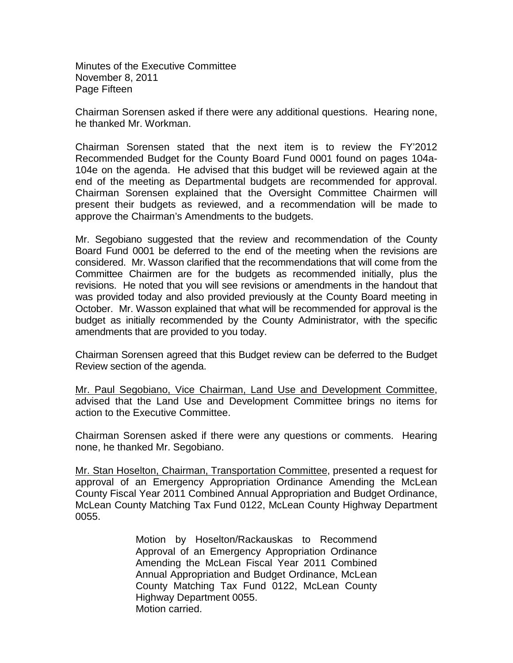Minutes of the Executive Committee November 8, 2011 Page Fifteen

Chairman Sorensen asked if there were any additional questions. Hearing none, he thanked Mr. Workman.

Chairman Sorensen stated that the next item is to review the FY'2012 Recommended Budget for the County Board Fund 0001 found on pages 104a-104e on the agenda. He advised that this budget will be reviewed again at the end of the meeting as Departmental budgets are recommended for approval. Chairman Sorensen explained that the Oversight Committee Chairmen will present their budgets as reviewed, and a recommendation will be made to approve the Chairman's Amendments to the budgets.

Mr. Segobiano suggested that the review and recommendation of the County Board Fund 0001 be deferred to the end of the meeting when the revisions are considered. Mr. Wasson clarified that the recommendations that will come from the Committee Chairmen are for the budgets as recommended initially, plus the revisions. He noted that you will see revisions or amendments in the handout that was provided today and also provided previously at the County Board meeting in October. Mr. Wasson explained that what will be recommended for approval is the budget as initially recommended by the County Administrator, with the specific amendments that are provided to you today.

Chairman Sorensen agreed that this Budget review can be deferred to the Budget Review section of the agenda.

Mr. Paul Segobiano, Vice Chairman, Land Use and Development Committee, advised that the Land Use and Development Committee brings no items for action to the Executive Committee.

Chairman Sorensen asked if there were any questions or comments. Hearing none, he thanked Mr. Segobiano.

Mr. Stan Hoselton, Chairman, Transportation Committee, presented a request for approval of an Emergency Appropriation Ordinance Amending the McLean County Fiscal Year 2011 Combined Annual Appropriation and Budget Ordinance, McLean County Matching Tax Fund 0122, McLean County Highway Department 0055.

> Motion by Hoselton/Rackauskas to Recommend Approval of an Emergency Appropriation Ordinance Amending the McLean Fiscal Year 2011 Combined Annual Appropriation and Budget Ordinance, McLean County Matching Tax Fund 0122, McLean County Highway Department 0055. Motion carried.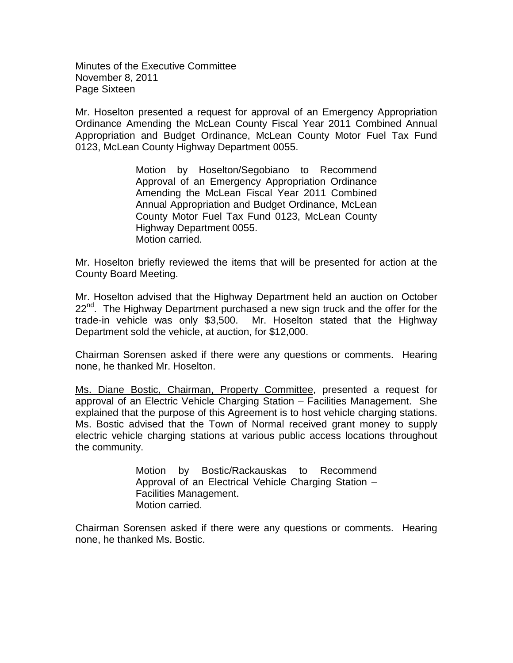Minutes of the Executive Committee November 8, 2011 Page Sixteen

Mr. Hoselton presented a request for approval of an Emergency Appropriation Ordinance Amending the McLean County Fiscal Year 2011 Combined Annual Appropriation and Budget Ordinance, McLean County Motor Fuel Tax Fund 0123, McLean County Highway Department 0055.

> Motion by Hoselton/Segobiano to Recommend Approval of an Emergency Appropriation Ordinance Amending the McLean Fiscal Year 2011 Combined Annual Appropriation and Budget Ordinance, McLean County Motor Fuel Tax Fund 0123, McLean County Highway Department 0055. Motion carried.

Mr. Hoselton briefly reviewed the items that will be presented for action at the County Board Meeting.

Mr. Hoselton advised that the Highway Department held an auction on October 22<sup>nd</sup>. The Highway Department purchased a new sign truck and the offer for the trade-in vehicle was only \$3,500. Mr. Hoselton stated that the Highway Department sold the vehicle, at auction, for \$12,000.

Chairman Sorensen asked if there were any questions or comments. Hearing none, he thanked Mr. Hoselton.

Ms. Diane Bostic, Chairman, Property Committee, presented a request for approval of an Electric Vehicle Charging Station – Facilities Management. She explained that the purpose of this Agreement is to host vehicle charging stations. Ms. Bostic advised that the Town of Normal received grant money to supply electric vehicle charging stations at various public access locations throughout the community.

> Motion by Bostic/Rackauskas to Recommend Approval of an Electrical Vehicle Charging Station – Facilities Management. Motion carried.

Chairman Sorensen asked if there were any questions or comments. Hearing none, he thanked Ms. Bostic.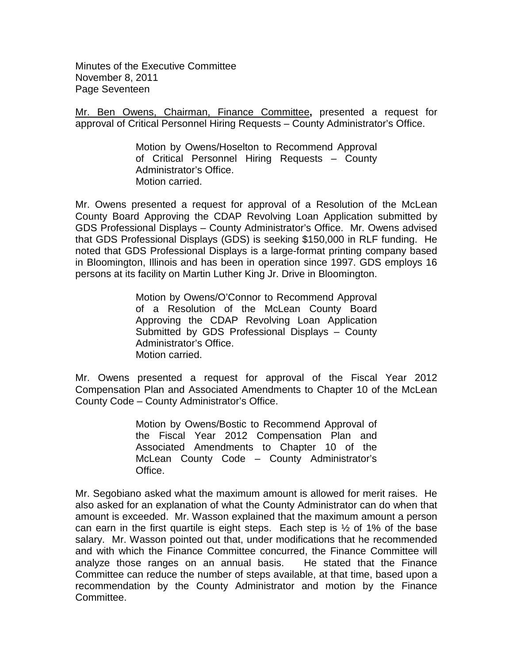Minutes of the Executive Committee November 8, 2011 Page Seventeen

Mr. Ben Owens, Chairman, Finance Committee**,** presented a request for approval of Critical Personnel Hiring Requests – County Administrator's Office.

> Motion by Owens/Hoselton to Recommend Approval of Critical Personnel Hiring Requests – County Administrator's Office. Motion carried.

Mr. Owens presented a request for approval of a Resolution of the McLean County Board Approving the CDAP Revolving Loan Application submitted by GDS Professional Displays – County Administrator's Office. Mr. Owens advised that GDS Professional Displays (GDS) is seeking \$150,000 in RLF funding. He noted that GDS Professional Displays is a large-format printing company based in Bloomington, Illinois and has been in operation since 1997. GDS employs 16 persons at its facility on Martin Luther King Jr. Drive in Bloomington.

> Motion by Owens/O'Connor to Recommend Approval of a Resolution of the McLean County Board Approving the CDAP Revolving Loan Application Submitted by GDS Professional Displays – County Administrator's Office. Motion carried.

Mr. Owens presented a request for approval of the Fiscal Year 2012 Compensation Plan and Associated Amendments to Chapter 10 of the McLean County Code – County Administrator's Office.

> Motion by Owens/Bostic to Recommend Approval of the Fiscal Year 2012 Compensation Plan and Associated Amendments to Chapter 10 of the McLean County Code – County Administrator's Office.

Mr. Segobiano asked what the maximum amount is allowed for merit raises. He also asked for an explanation of what the County Administrator can do when that amount is exceeded. Mr. Wasson explained that the maximum amount a person can earn in the first quartile is eight steps. Each step is  $\frac{1}{2}$  of 1% of the base salary. Mr. Wasson pointed out that, under modifications that he recommended and with which the Finance Committee concurred, the Finance Committee will analyze those ranges on an annual basis. He stated that the Finance Committee can reduce the number of steps available, at that time, based upon a recommendation by the County Administrator and motion by the Finance Committee.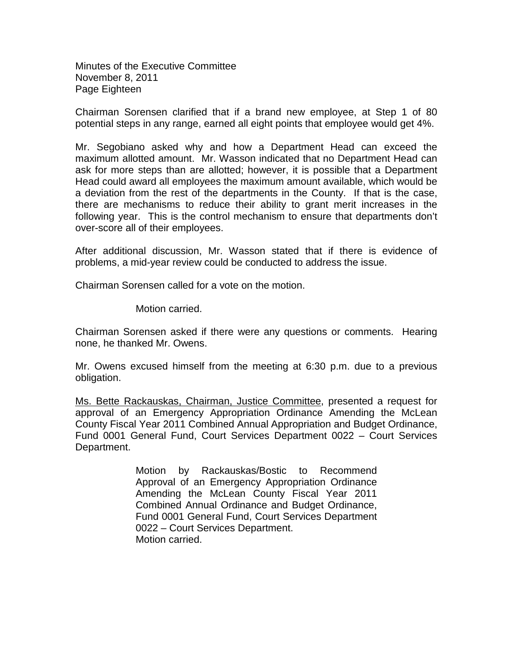Minutes of the Executive Committee November 8, 2011 Page Eighteen

Chairman Sorensen clarified that if a brand new employee, at Step 1 of 80 potential steps in any range, earned all eight points that employee would get 4%.

Mr. Segobiano asked why and how a Department Head can exceed the maximum allotted amount. Mr. Wasson indicated that no Department Head can ask for more steps than are allotted; however, it is possible that a Department Head could award all employees the maximum amount available, which would be a deviation from the rest of the departments in the County. If that is the case, there are mechanisms to reduce their ability to grant merit increases in the following year. This is the control mechanism to ensure that departments don't over-score all of their employees.

After additional discussion, Mr. Wasson stated that if there is evidence of problems, a mid-year review could be conducted to address the issue.

Chairman Sorensen called for a vote on the motion.

Motion carried.

Chairman Sorensen asked if there were any questions or comments. Hearing none, he thanked Mr. Owens.

Mr. Owens excused himself from the meeting at 6:30 p.m. due to a previous obligation.

Ms. Bette Rackauskas, Chairman, Justice Committee, presented a request for approval of an Emergency Appropriation Ordinance Amending the McLean County Fiscal Year 2011 Combined Annual Appropriation and Budget Ordinance, Fund 0001 General Fund, Court Services Department 0022 – Court Services Department.

> Motion by Rackauskas/Bostic to Recommend Approval of an Emergency Appropriation Ordinance Amending the McLean County Fiscal Year 2011 Combined Annual Ordinance and Budget Ordinance, Fund 0001 General Fund, Court Services Department 0022 – Court Services Department. Motion carried.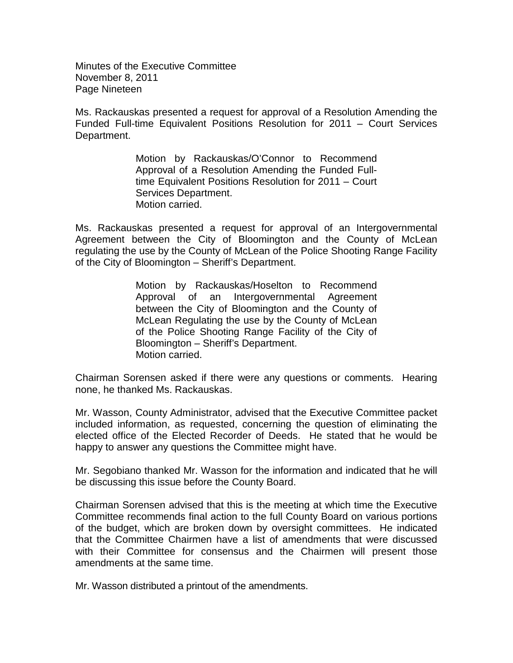Minutes of the Executive Committee November 8, 2011 Page Nineteen

Ms. Rackauskas presented a request for approval of a Resolution Amending the Funded Full-time Equivalent Positions Resolution for 2011 – Court Services Department.

> Motion by Rackauskas/O'Connor to Recommend Approval of a Resolution Amending the Funded Fulltime Equivalent Positions Resolution for 2011 – Court Services Department. Motion carried.

Ms. Rackauskas presented a request for approval of an Intergovernmental Agreement between the City of Bloomington and the County of McLean regulating the use by the County of McLean of the Police Shooting Range Facility of the City of Bloomington – Sheriff's Department.

> Motion by Rackauskas/Hoselton to Recommend Approval of an Intergovernmental Agreement between the City of Bloomington and the County of McLean Regulating the use by the County of McLean of the Police Shooting Range Facility of the City of Bloomington – Sheriff's Department. Motion carried.

Chairman Sorensen asked if there were any questions or comments. Hearing none, he thanked Ms. Rackauskas.

Mr. Wasson, County Administrator, advised that the Executive Committee packet included information, as requested, concerning the question of eliminating the elected office of the Elected Recorder of Deeds. He stated that he would be happy to answer any questions the Committee might have.

Mr. Segobiano thanked Mr. Wasson for the information and indicated that he will be discussing this issue before the County Board.

Chairman Sorensen advised that this is the meeting at which time the Executive Committee recommends final action to the full County Board on various portions of the budget, which are broken down by oversight committees. He indicated that the Committee Chairmen have a list of amendments that were discussed with their Committee for consensus and the Chairmen will present those amendments at the same time.

Mr. Wasson distributed a printout of the amendments.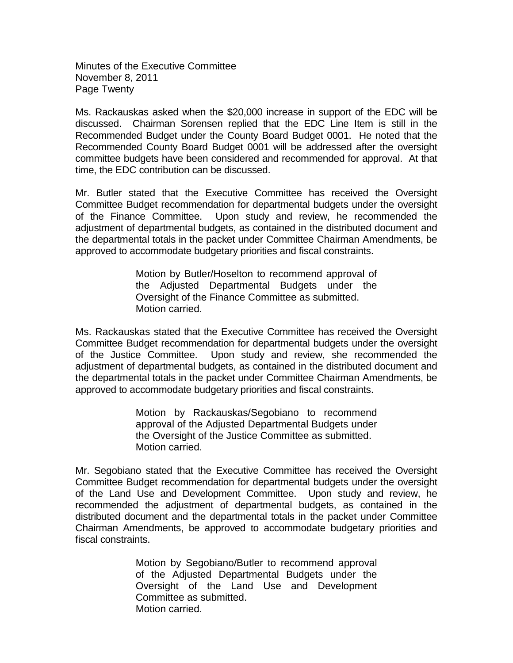Minutes of the Executive Committee November 8, 2011 Page Twenty

Ms. Rackauskas asked when the \$20,000 increase in support of the EDC will be discussed. Chairman Sorensen replied that the EDC Line Item is still in the Recommended Budget under the County Board Budget 0001. He noted that the Recommended County Board Budget 0001 will be addressed after the oversight committee budgets have been considered and recommended for approval. At that time, the EDC contribution can be discussed.

Mr. Butler stated that the Executive Committee has received the Oversight Committee Budget recommendation for departmental budgets under the oversight of the Finance Committee. Upon study and review, he recommended the adjustment of departmental budgets, as contained in the distributed document and the departmental totals in the packet under Committee Chairman Amendments, be approved to accommodate budgetary priorities and fiscal constraints.

> Motion by Butler/Hoselton to recommend approval of the Adjusted Departmental Budgets under the Oversight of the Finance Committee as submitted. Motion carried.

Ms. Rackauskas stated that the Executive Committee has received the Oversight Committee Budget recommendation for departmental budgets under the oversight of the Justice Committee. Upon study and review, she recommended the adjustment of departmental budgets, as contained in the distributed document and the departmental totals in the packet under Committee Chairman Amendments, be approved to accommodate budgetary priorities and fiscal constraints.

> Motion by Rackauskas/Segobiano to recommend approval of the Adjusted Departmental Budgets under the Oversight of the Justice Committee as submitted. Motion carried.

Mr. Segobiano stated that the Executive Committee has received the Oversight Committee Budget recommendation for departmental budgets under the oversight of the Land Use and Development Committee. Upon study and review, he recommended the adjustment of departmental budgets, as contained in the distributed document and the departmental totals in the packet under Committee Chairman Amendments, be approved to accommodate budgetary priorities and fiscal constraints.

> Motion by Segobiano/Butler to recommend approval of the Adjusted Departmental Budgets under the Oversight of the Land Use and Development Committee as submitted. Motion carried.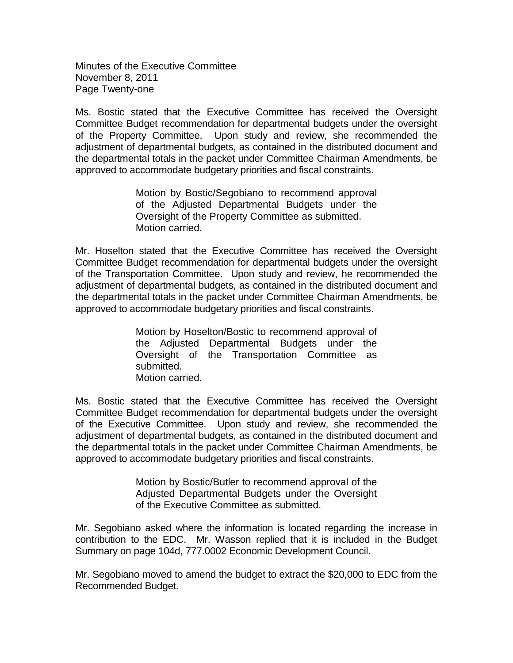Minutes of the Executive Committee November 8, 2011 Page Twenty-one

Ms. Bostic stated that the Executive Committee has received the Oversight Committee Budget recommendation for departmental budgets under the oversight of the Property Committee. Upon study and review, she recommended the adjustment of departmental budgets, as contained in the distributed document and the departmental totals in the packet under Committee Chairman Amendments, be approved to accommodate budgetary priorities and fiscal constraints.

> Motion by Bostic/Segobiano to recommend approval of the Adjusted Departmental Budgets under the Oversight of the Property Committee as submitted. Motion carried.

Mr. Hoselton stated that the Executive Committee has received the Oversight Committee Budget recommendation for departmental budgets under the oversight of the Transportation Committee. Upon study and review, he recommended the adjustment of departmental budgets, as contained in the distributed document and the departmental totals in the packet under Committee Chairman Amendments, be approved to accommodate budgetary priorities and fiscal constraints.

> Motion by Hoselton/Bostic to recommend approval of the Adjusted Departmental Budgets under the Oversight of the Transportation Committee as submitted. Motion carried.

Ms. Bostic stated that the Executive Committee has received the Oversight Committee Budget recommendation for departmental budgets under the oversight of the Executive Committee. Upon study and review, she recommended the adjustment of departmental budgets, as contained in the distributed document and the departmental totals in the packet under Committee Chairman Amendments, be approved to accommodate budgetary priorities and fiscal constraints.

> Motion by Bostic/Butler to recommend approval of the Adjusted Departmental Budgets under the Oversight of the Executive Committee as submitted.

Mr. Segobiano asked where the information is located regarding the increase in contribution to the EDC. Mr. Wasson replied that it is included in the Budget Summary on page 104d, 777.0002 Economic Development Council.

Mr. Segobiano moved to amend the budget to extract the \$20,000 to EDC from the Recommended Budget.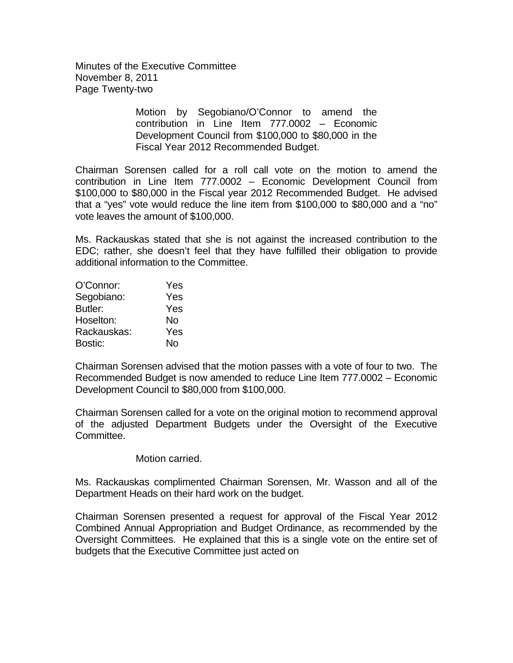Minutes of the Executive Committee November 8, 2011 Page Twenty-two

> Motion by Segobiano/O'Connor to amend the contribution in Line Item 777.0002 – Economic Development Council from \$100,000 to \$80,000 in the Fiscal Year 2012 Recommended Budget.

Chairman Sorensen called for a roll call vote on the motion to amend the contribution in Line Item 777.0002 – Economic Development Council from \$100,000 to \$80,000 in the Fiscal year 2012 Recommended Budget. He advised that a "yes" vote would reduce the line item from \$100,000 to \$80,000 and a "no" vote leaves the amount of \$100,000.

Ms. Rackauskas stated that she is not against the increased contribution to the EDC; rather, she doesn't feel that they have fulfilled their obligation to provide additional information to the Committee.

| O'Connor:   | Yes |
|-------------|-----|
| Segobiano:  | Yes |
| Butler:     | Yes |
| Hoselton:   | No  |
| Rackauskas: | Yes |
| Bostic:     | No  |

Chairman Sorensen advised that the motion passes with a vote of four to two. The Recommended Budget is now amended to reduce Line Item 777.0002 – Economic Development Council to \$80,000 from \$100,000.

Chairman Sorensen called for a vote on the original motion to recommend approval of the adjusted Department Budgets under the Oversight of the Executive Committee.

Motion carried.

Ms. Rackauskas complimented Chairman Sorensen, Mr. Wasson and all of the Department Heads on their hard work on the budget.

Chairman Sorensen presented a request for approval of the Fiscal Year 2012 Combined Annual Appropriation and Budget Ordinance, as recommended by the Oversight Committees. He explained that this is a single vote on the entire set of budgets that the Executive Committee just acted on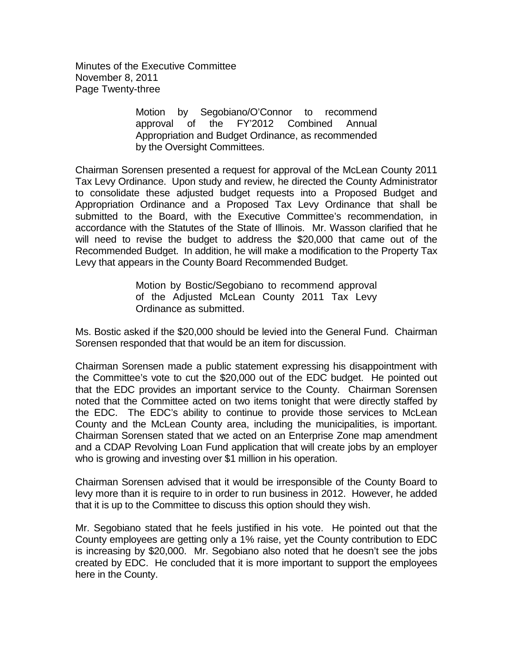Minutes of the Executive Committee November 8, 2011 Page Twenty-three

> Motion by Segobiano/O'Connor to recommend approval of the FY'2012 Combined Annual Appropriation and Budget Ordinance, as recommended by the Oversight Committees.

Chairman Sorensen presented a request for approval of the McLean County 2011 Tax Levy Ordinance. Upon study and review, he directed the County Administrator to consolidate these adjusted budget requests into a Proposed Budget and Appropriation Ordinance and a Proposed Tax Levy Ordinance that shall be submitted to the Board, with the Executive Committee's recommendation, in accordance with the Statutes of the State of Illinois. Mr. Wasson clarified that he will need to revise the budget to address the \$20,000 that came out of the Recommended Budget. In addition, he will make a modification to the Property Tax Levy that appears in the County Board Recommended Budget.

> Motion by Bostic/Segobiano to recommend approval of the Adjusted McLean County 2011 Tax Levy Ordinance as submitted.

Ms. Bostic asked if the \$20,000 should be levied into the General Fund. Chairman Sorensen responded that that would be an item for discussion.

Chairman Sorensen made a public statement expressing his disappointment with the Committee's vote to cut the \$20,000 out of the EDC budget. He pointed out that the EDC provides an important service to the County. Chairman Sorensen noted that the Committee acted on two items tonight that were directly staffed by the EDC. The EDC's ability to continue to provide those services to McLean County and the McLean County area, including the municipalities, is important. Chairman Sorensen stated that we acted on an Enterprise Zone map amendment and a CDAP Revolving Loan Fund application that will create jobs by an employer who is growing and investing over \$1 million in his operation.

Chairman Sorensen advised that it would be irresponsible of the County Board to levy more than it is require to in order to run business in 2012. However, he added that it is up to the Committee to discuss this option should they wish.

Mr. Segobiano stated that he feels justified in his vote. He pointed out that the County employees are getting only a 1% raise, yet the County contribution to EDC is increasing by \$20,000. Mr. Segobiano also noted that he doesn't see the jobs created by EDC. He concluded that it is more important to support the employees here in the County.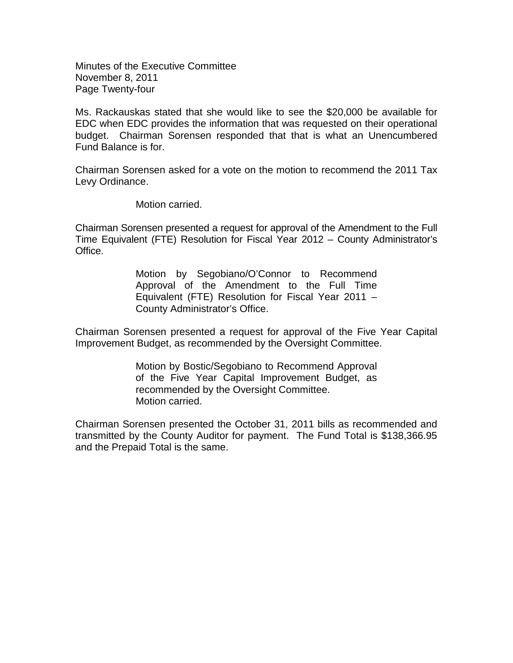Minutes of the Executive Committee November 8, 2011 Page Twenty-four

Ms. Rackauskas stated that she would like to see the \$20,000 be available for EDC when EDC provides the information that was requested on their operational budget. Chairman Sorensen responded that that is what an Unencumbered Fund Balance is for.

Chairman Sorensen asked for a vote on the motion to recommend the 2011 Tax Levy Ordinance.

Motion carried.

Chairman Sorensen presented a request for approval of the Amendment to the Full Time Equivalent (FTE) Resolution for Fiscal Year 2012 – County Administrator's Office.

> Motion by Segobiano/O'Connor to Recommend Approval of the Amendment to the Full Time Equivalent (FTE) Resolution for Fiscal Year 2011 – County Administrator's Office.

Chairman Sorensen presented a request for approval of the Five Year Capital Improvement Budget, as recommended by the Oversight Committee.

> Motion by Bostic/Segobiano to Recommend Approval of the Five Year Capital Improvement Budget, as recommended by the Oversight Committee. Motion carried.

Chairman Sorensen presented the October 31, 2011 bills as recommended and transmitted by the County Auditor for payment. The Fund Total is \$138,366.95 and the Prepaid Total is the same.